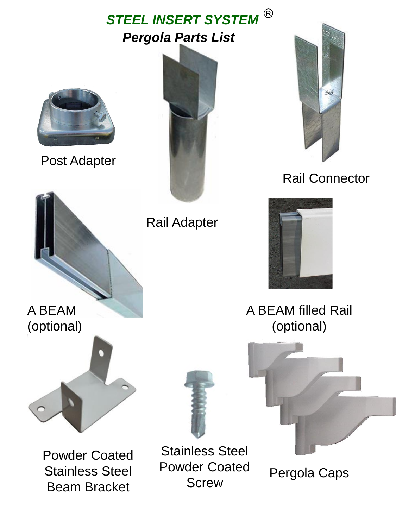## *Pergola Parts List* **STEEL INSERT SYSTEM**  $^{\circledR}$



Post Adapter





## Rail Connector



Rail Adapter



A BEAM filled Rail (optional)



A BEAM (optional)



Powder Coated Stainless Steel Beam Bracket

Stainless Steel Powder Coated der Coated Pergola Caps<br>Screw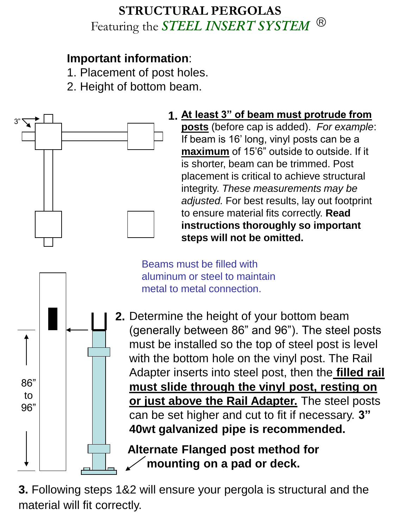## **STRUCTURAL PERGOLAS** Featuring the *STEEL INSERT SYSTEM* R

## **Important information**:

- 1. Placement of post holes.
- 2. Height of bottom beam.



**mounting on a pad or deck.**

**3.** Following steps 1&2 will ensure your pergola is structural and the material will fit correctly.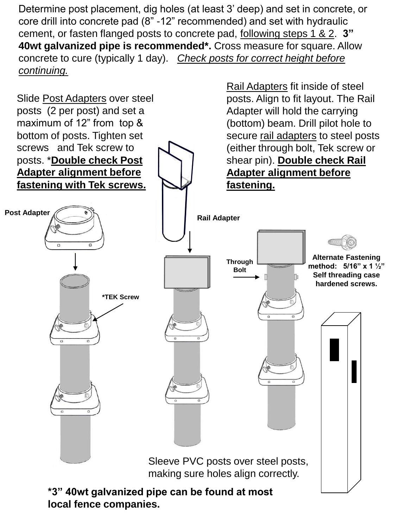Determine post placement, dig holes (at least 3' deep) and set in concrete, or core drill into concrete pad (8" -12" recommended) and set with hydraulic cement, or fasten flanged posts to concrete pad, following steps 1 & 2. **3" 40wt galvanized pipe is recommended\*.** Cross measure for square. Allow concrete to cure (typically 1 day). *Check posts for correct height before continuing.*



**local fence companies.**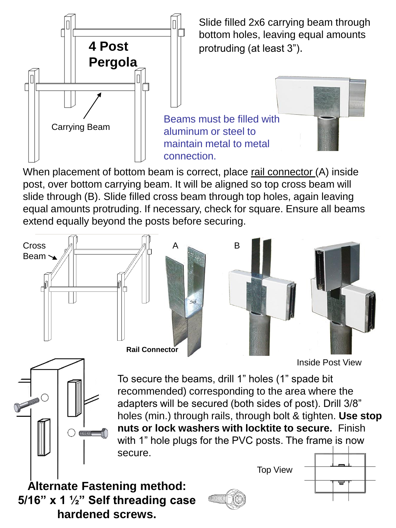

Slide filled 2x6 carrying beam through bottom holes, leaving equal amounts protruding (at least 3").

When placement of bottom beam is correct, place rail connector (A) inside post, over bottom carrying beam. It will be aligned so top cross beam will slide through (B). Slide filled cross beam through top holes, again leaving equal amounts protruding. If necessary, check for square. Ensure all beams extend equally beyond the posts before securing.



Inside Post View



To secure the beams, drill 1" holes (1" spade bit recommended) corresponding to the area where the adapters will be secured (both sides of post). Drill 3/8" holes (min.) through rails, through bolt & tighten. **Use stop nuts or lock washers with locktite to secure.** Finish with 1" hole plugs for the PVC posts. The frame is now secure.

Top View

**Alternate Fastening method: 5/16" x 1 ½" Self threading case hardened screws.**